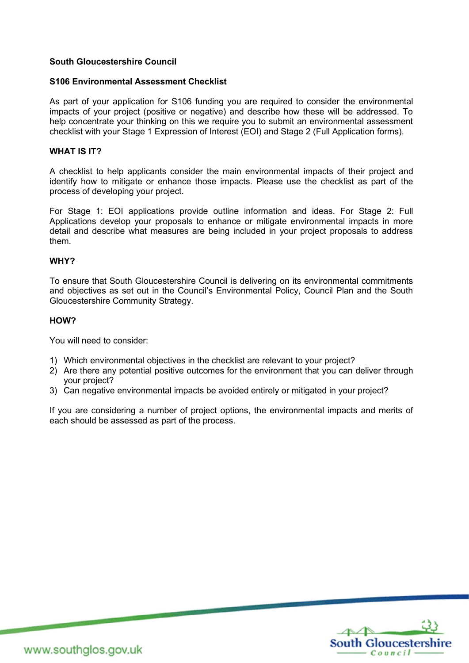## **South Gloucestershire Council**

## **S106 Environmental Assessment Checklist**

As part of your application for S106 funding you are required to consider the environmental impacts of your project (positive or negative) and describe how these will be addressed. To help concentrate your thinking on this we require you to submit an environmental assessment checklist with your Stage 1 Expression of Interest (EOI) and Stage 2 (Full Application forms).

## **WHAT IS IT?**

A checklist to help applicants consider the main environmental impacts of their project and identify how to mitigate or enhance those impacts. Please use the checklist as part of the process of developing your project.

For Stage 1: EOI applications provide outline information and ideas. For Stage 2: Full Applications develop your proposals to enhance or mitigate environmental impacts in more detail and describe what measures are being included in your project proposals to address them.

#### **WHY?**

To ensure that South Gloucestershire Council is delivering on its environmental commitments and objectives as set out in the Council's Environmental Policy, Council Plan and the South Gloucestershire Community Strategy.

### **HOW?**

You will need to consider:

- 1) Which environmental objectives in the checklist are relevant to your project?
- 2) Are there any potential positive outcomes for the environment that you can deliver through your project?
- 3) Can negative environmental impacts be avoided entirely or mitigated in your project?

If you are considering a number of project options, the environmental impacts and merits of each should be assessed as part of the process.



www.southglos.gov.uk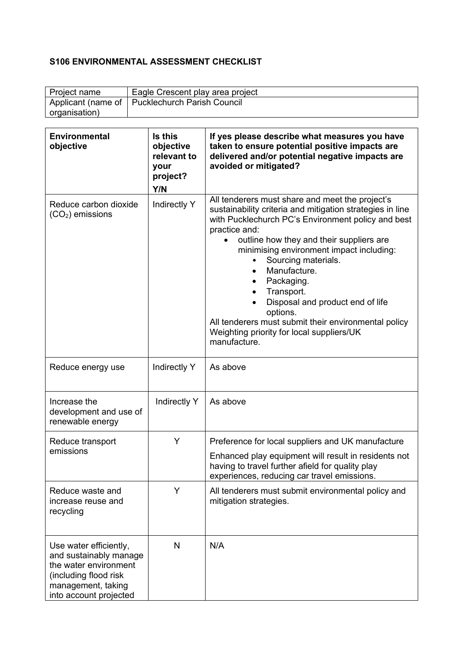# **S106 ENVIRONMENTAL ASSESSMENT CHECKLIST**

| Project name  | Eagle Crescent play area project                 |
|---------------|--------------------------------------------------|
|               | Applicant (name of   Pucklechurch Parish Council |
| organisation) |                                                  |

| <b>Environmental</b><br>objective                                                                                                                  | Is this<br>objective<br>relevant to<br>your<br>project?<br>Y/N | If yes please describe what measures you have<br>taken to ensure potential positive impacts are<br>delivered and/or potential negative impacts are<br>avoided or mitigated?                                                                                                                                                                                                                                                                                                                                                      |
|----------------------------------------------------------------------------------------------------------------------------------------------------|----------------------------------------------------------------|----------------------------------------------------------------------------------------------------------------------------------------------------------------------------------------------------------------------------------------------------------------------------------------------------------------------------------------------------------------------------------------------------------------------------------------------------------------------------------------------------------------------------------|
| Reduce carbon dioxide<br>$(CO2)$ emissions                                                                                                         | Indirectly Y                                                   | All tenderers must share and meet the project's<br>sustainability criteria and mitigation strategies in line<br>with Pucklechurch PC's Environment policy and best<br>practice and:<br>outline how they and their suppliers are<br>minimising environment impact including:<br>Sourcing materials.<br>$\bullet$<br>Manufacture.<br>Packaging.<br>Transport.<br>Disposal and product end of life<br>options.<br>All tenderers must submit their environmental policy<br>Weighting priority for local suppliers/UK<br>manufacture. |
| Reduce energy use                                                                                                                                  | Indirectly Y                                                   | As above                                                                                                                                                                                                                                                                                                                                                                                                                                                                                                                         |
| Increase the<br>development and use of<br>renewable energy                                                                                         | Indirectly Y                                                   | As above                                                                                                                                                                                                                                                                                                                                                                                                                                                                                                                         |
| Reduce transport<br>emissions                                                                                                                      | Y                                                              | Preference for local suppliers and UK manufacture<br>Enhanced play equipment will result in residents not<br>having to travel further afield for quality play<br>experiences, reducing car travel emissions.                                                                                                                                                                                                                                                                                                                     |
| Reduce waste and<br>increase reuse and<br>recycling                                                                                                | Y                                                              | All tenderers must submit environmental policy and<br>mitigation strategies.                                                                                                                                                                                                                                                                                                                                                                                                                                                     |
| Use water efficiently,<br>and sustainably manage<br>the water environment<br>(including flood risk<br>management, taking<br>into account projected | $\mathsf{N}$                                                   | N/A                                                                                                                                                                                                                                                                                                                                                                                                                                                                                                                              |